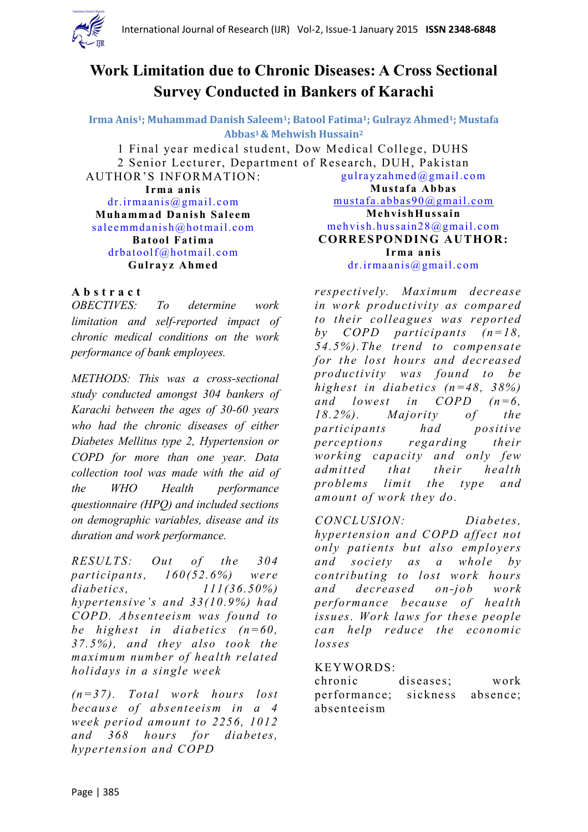

# **Work Limitation due to Chronic Diseases: A Cross Sectional Survey Conducted in Bankers of Karachi**

**Irma Anis1; Muhammad Danish Saleem1; Batool Fatima1; Gulrayz Ahmed1; Mustafa Abbas1& Mehwish Hussain<sup>2</sup>**

1 Final year medical student, Dow Medical College, DUHS 2 Senior Lecturer, Department of Research, DUH, Pakistan AUTHOR'S INFORMATION: [gulrayzahmed@gmail.com](mailto:gulrayzahmed@gmail.com)

**Irma anis** [dr.irmaanis@gmail.com](mailto:dr.irmaanis@gmail.com) **Muhammad Danish Saleem** [saleemmdanish@hotmail.com](mailto:saleemmdanish@hotmail.com) **Batool Fatima** [drbatoolf@hotmail.com](mailto:drbatoolf@hotmail.com) **Gulrayz Ahmed**

**Mustafa Abbas** [mustafa.abbas90@gmail.com](mailto:mustafa.abbas90@gmail.com) **MehvishHussain** [mehvish.hussain28@gmail.com](mailto:mehvish.hussain28@gmail.com) **CORRESPONDING AUTHOR: Irma anis** [dr.irmaanis@gmail.com](mailto:dr.irmaanis@gmail.com)

### **A b s t r a c t**

*OBECTIVES: To determine work limitation and self-reported impact of chronic medical conditions on the work performance of bank employees.*

*METHODS: This was a cross-sectional study conducted amongst 304 bankers of Karachi between the ages of 30-60 years who had the chronic diseases of either Diabetes Mellitus type 2, Hypertension or COPD for more than one year. Data collection tool was made with the aid of the WHO Health performance questionnaire (HPQ) and included sections on demographic variables, disease and its duration and work performance.* 

*RESULTS: Out of the 304 participants, 160(52.6%) were diabetics, 111(36.50%) hypertensive's and 33(10.9%) had COPD. Absenteeism was found to be highest in diabetics (n=60, 37.5%), and they also took the maximum number of health related holidays in a single week* 

*(n=37). Total work hours lost because of absenteeism in a 4 week period amount to 2256, 1012 and 368 hours for diabetes, hypertension and COPD* 

*respectively. Maximum decrease in work productivity as compared to their colleagues was reported by COPD participants (n=18, 54.5%).The trend to compensate for the lost hours and decreased productivity was found to be highest in diabetics (n=48, 38%) and lowest in COPD (n=6, 18.2%). Majority of the participants had positive perceptions regarding their working capacity and only few admitted that their health problems limit the type and amount of work they do.*

*CONCLUSION: Diabetes, hypertension and COPD affect not only patients but also employers and society as a whole by contributing to lost work hours and decreased on-job work performance because of health issues. Work laws for these people can help reduce the economic losses*

### KEYWORDS:

chronic diseases; work performance; sickness absence; absenteeism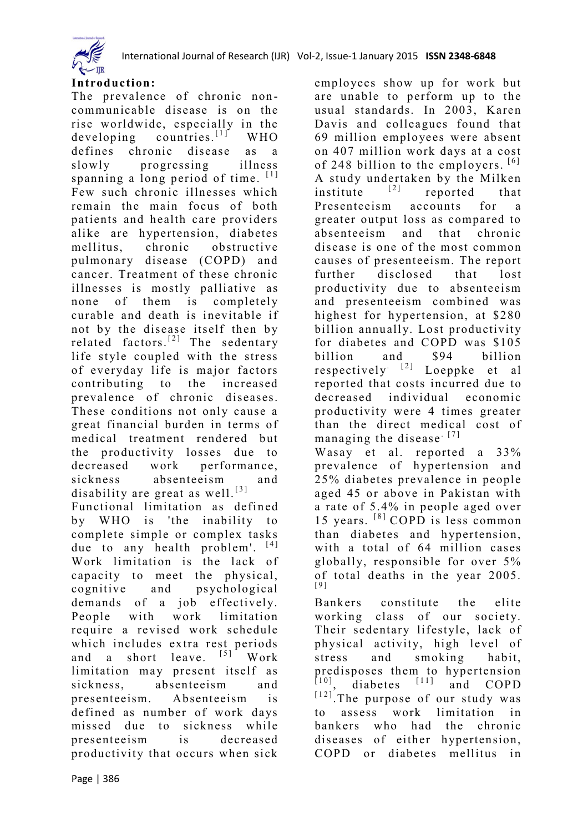

employees show up for work but are unable to perform up to the usual standards. In 2003, Karen Davis and colleagues found that 69 million employees were absent on 407 million work days at a cost of 248 billion to the employers.  $[6]$ A study undertaken by the Milken<br>institute  $[2]$  reported that institute  $\begin{bmatrix} 2 \end{bmatrix}$  reported that Presenteeism accounts for a greater output loss as compared to absenteeism and that chronic disease is one of the most common



#### **Introduction:**

The prevalence of chronic noncommunicable disease is on the rise worldwide, especially in the  $developing$  countries.<sup>[1]</sup> WHO defines chronic disease as a slowly progressing illness spanning a long period of time.  $[1]$ Few such chronic illnesses which remain the main focus of both patients and health care providers alike are hypertension, diabetes mellitus, chronic obstructive pulmonary disease (COPD) and cancer. Treatment of these chronic illnesses is mostly palliative as none of them is completely curable and death is inevitable if not by the disease itself then by related factors.<sup>[2]</sup> The sedentary life style coupled with the stress of everyday life is major factors contributing to the increased prevalence of chronic diseases. These conditions not only cause a great financial burden in terms of medical treatment rendered but the productivity losses due to decreased work performance, sickness absenteeism and disability are great as well.<sup>[3]</sup>

Functional limitation as defined by WHO is 'the inability to complete simple or complex tasks due to any health problem'.  $[4]$ Work limitation is the lack of capacity to meet the physical, cognitive and psychological demands of a job effectively. People with work limitation require a revised work schedule which includes extra rest periods and a short leave.  $[5]$  Work limitation may present itself as sickness, absenteeism and presenteeism. Absenteeism is defined as number of work days missed due to sickness while presenteeism is decreased productivity that occurs when sick

causes of presenteeism. The report further disclosed that lost productivity due to absenteeism and presenteeism combined was highest for hypertension, at \$280 billion annually. Lost productivity for diabetes and COPD was \$105 billion and \$94 billion respectively<sup> $[2]$ </sup> Loeppke et al reported that costs incurred due to decreased individual economic productivity were 4 times greater than the direct medical cost of managing the disease  $[7]$ Wasay et al. reported a 33% prevalence of hypertension and 25% diabetes prevalence in people aged 45 or above in Pakistan with a rate of 5.4% in people aged over 15 years.  $[8]$  COPD is less common than diabetes and hypertension, with a total of 64 million cases globally, responsible for over 5% of total deaths in the year 2005. [ 9 ] Bankers constitute the elite working class of our society. Their sedentary lifestyle, lack of physical activity, high level of stress and smoking habit,

predisposes them to hypertension  $\begin{bmatrix} 10 \\ 0 \end{bmatrix}$ , diabetes  $\begin{bmatrix} 11 \\ 1 \end{bmatrix}$  and COPD  $[12]$ . The purpose of our study was to assess work limitation in bankers who had the chronic diseases of either hypertension, COPD or diabetes mellitus in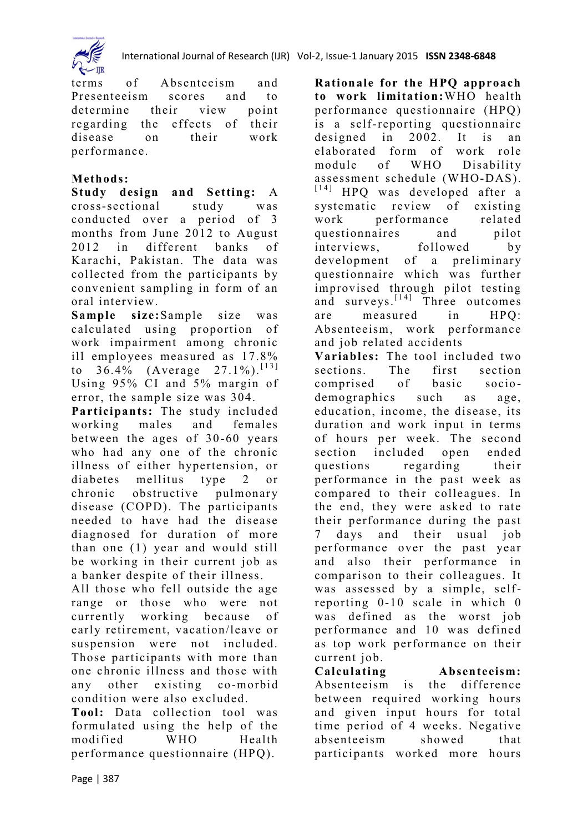

terms of Absenteeism and Presenteeism scores and to determine their view point regarding the effects of their disease on their work performance.

## **Methods:**

**Study design and Setting:** A cross-sectional study was conducted over a period of 3 months from June 2012 to August 2012 in different banks of Karachi, Pakistan. The data was collected from the participants by convenient sampling in form of an oral interview.

**Sample size:**Sample size was calculated using proportion of work impairment among chronic ill employees measured as 17.8% to  $36.4\%$  (Average  $27.1\%$ ). [13] Using 95% CI and 5% margin of error, the sample size was 304.

**Participants:** The study included working males and females between the ages of 30 -60 years who had any one of the chronic illness of either hypertension, or diabetes mellitus type 2 or chronic obstructive pulmonary disease (COPD). The participants needed to have had the disease diagnosed for duration of more than one (1) year and would still be working in their current job as a banker despite of their illness.

All those who fell outside the age range or those who were not currently working because of early retirement, vacation/leave or suspension were not included. Those participants with more than one chronic illness and those with any other existing co-morbid condition were also excluded.

**Tool:** Data collection tool was formulated using the help of the modified WHO Health performance questionnaire (HPQ).

**Rationale for the HPQ approach to work limitation:**WHO health performance questionnaire (HPQ) is a self-reporting questionnaire designed in 2002. It is an elaborated form of work role module of WHO Disability assessment schedule (WHO-DAS). [14] HPQ was developed after a systematic review of existing work performance related questionnaires and pilot interviews, followed by development of a preliminary questionnaire which was further improvised through pilot testing and surveys.  $[14]$  Three outcomes are measured in HPQ: Absenteeism, work performance and job related accidents

**Variables:** The tool included two sections. The first section comprised of basic socio demographics such as age, education, income, the disease, its duration and work input in terms of hours per week. The second section included open ended questions regarding their performance in the past week as compared to their colleagues. In the end, they were asked to rate their performance during the past 7 days and their usual job performance over the past year and also their performance in comparison to their colleagues. It was assessed by a simple, selfreporting 0-10 scale in which 0 was defined as the worst job performance and 10 was defined as top work performance on their current job.

**Calculating Absenteeism:** Absenteeism is the difference between required working hours and given input hours for total time period of 4 weeks. Negative absenteeism showed that participants worked more hours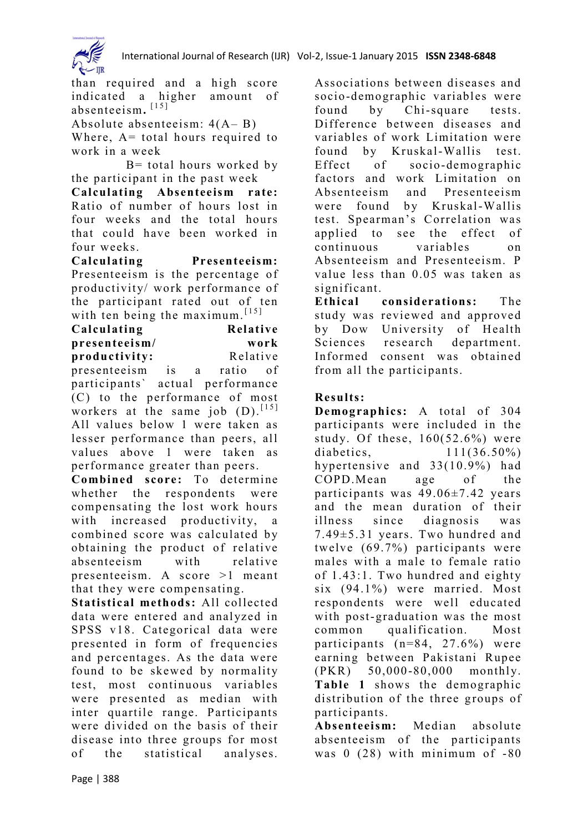

than required and a high score indicated a higher amount of absenteeism.<sup>[15]</sup> Absolute absenteeism: 4(A– B)

Where,  $A =$  total hours required to work in a week

 $B =$  total hours worked by the participant in the past week

**Calculating Absenteeism rate:**  Ratio of number of hours lost in four weeks and the total hours that could have been worked in four weeks.

**Calculating Presenteeism:**  Presenteeism is the percentage of productivity/ work performance of the participant rated out of ten with ten being the maximum  $[15]$ 

| Calculating                      |  |  | Relative         |  |  |  |
|----------------------------------|--|--|------------------|--|--|--|
| presenteeism/<br>productivity:   |  |  | work<br>Relative |  |  |  |
|                                  |  |  |                  |  |  |  |
| narticinants' actual nerformance |  |  |                  |  |  |  |

participants` actual performance (C) to the performance of most workers at the same job  $(D)$ . [15] All values below 1 were taken as lesser performance than peers, all values above 1 were taken as performance greater than peers.

**Combined score:** To determine whether the respondents were compensating the lost work hours with increased productivity, a combined score was calculated by obtaining the product of relative absenteeism with relative presenteeism. A score  $>1$  meant that they were compensating.

**Statistical methods:** All collected data were entered and analyzed in SPSS v18. Categorical data were presented in form of frequencies and percentages. As the data were found to be skewed by normality test, most continuous variables were presented as median with inter quartile range. Participants were divided on the basis of their disease into three groups for most of the statistical analyses. Associations between diseases and socio-demographic variables were found by Chi-square tests. Difference between diseases and variables of work Limitation were found by Kruskal-Wallis test. Effect of socio-demographic factors and work Limitation on Absenteeism and Presenteeism were found by Kruskal-Wallis test. Spearman's Correlation was applied to see the effect of continuous variables on Absenteeism and Presenteeism. P value less than 0.05 was taken as significant.

**Ethical considerations:** The study was reviewed and approved by Dow University of Health Sciences research department. Informed consent was obtained from all the participants.

## **Results:**

**Demographics:** A total of 304 participants were included in the study. Of these,  $160(52.6%)$  were diabetics, 111(36.50%) hypertensive and 33(10.9%) had COPD.Mean age of the participants was 49.06±7.42 years and the mean duration of their illness since diagnosis was 7.49±5.31 years. Two hundred and twelve (69.7%) participants were males with a male to female ratio of 1.43:1. Two hundred and eighty six (94.1%) were married. Most respondents were well educated with post-graduation was the most common qualification. Most participants (n=84, 27.6%) were earning between Pakistani Rupee (PKR) 50,000-80,000 monthly. **Table 1** shows the demographic distribution of the three groups of participants.

**Absenteeism:** Median absolute absenteeism of the participants was 0 (28) with minimum of -80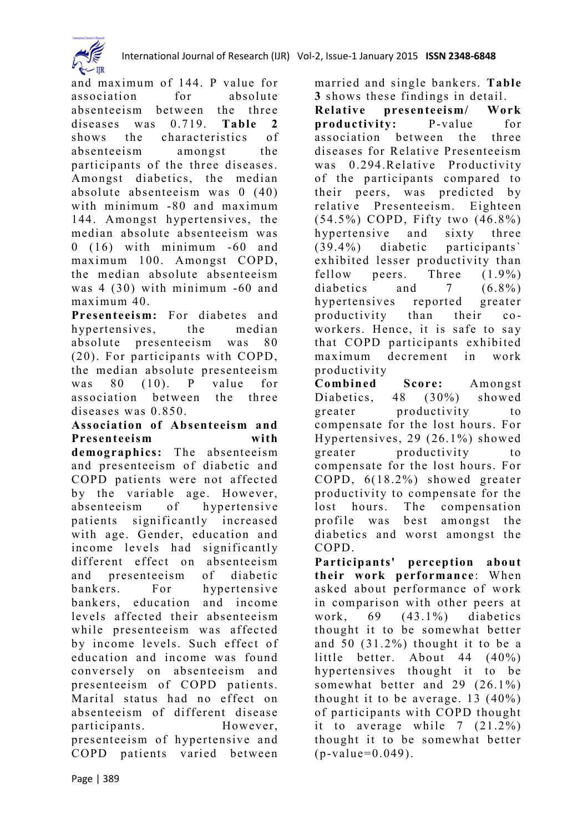

and maximum of 144. P value for association for absolute absenteeism between the three diseases was 0.719. **Table 2** shows the characteristics of absenteeism amongst the participants of the three diseases. Amongst diabetics, the median absolute absenteeism was 0 (40) with minimum -80 and maximum 144. Amongst hypertensives, the median absolute absenteeism was 0 (16) with minimum -60 and maximum 100. Amongst COPD, the median absolute absenteeism was 4 (30) with minimum -60 and maximum 40.

**Presenteeism:** For diabetes and hypertensives, the median absolute presenteeism was 80 (20). For participants with COPD, the median absolute presenteeism was 80 (10). P value for association between the three diseases was 0.850.

**Association of Absenteeism and Presenteeism with** 

**demographics:** The absenteeism and presenteeism of diabetic and COPD patients were not affected by the variable age. However, absenteeism of hypertensive patients significantly increased with age. Gender, education and income levels had significantly different effect on absenteeism and presenteeism of diabetic bankers. For hypertensive bankers, education and income levels affected their absentee ism while presenteeism was affected by income levels. Such effect of education and income was found conversely on absenteeism and presenteeism of COPD patients. Marital status had no effect on absenteeism of different disease participants. However, presenteeism of hypertensive and COPD patients varied between married and single bankers. **Table 3** shows these findings in detail.

**Relative presenteeism/ Work productivity:** P-value for association between the three diseases for Relative Presenteeism was  $0.294$ . Relative Productivity of the participants compared to their peers, was predicted by relative Presenteeism. Eighteen (54.5%) COPD, Fifty two (46.8%) hypertensive and sixty three (39.4%) diabetic participants` exhibited lesser productivity than fellow peers. Three  $(1.9\%)$ diabetics and 7 (6.8%) hypertensives reported greater productivity than their coworkers. Hence, it is safe to say that COPD participants exhibited maximum decrement in work productivity

**Combined Score:** Amongst Diabetics, 48 (30%) showed greater productivity to compensate for the lost hours. For Hypertensives, 29 (26.1%) showed greater productivity to compensate for the lost hours. For COPD, 6(18.2%) showed greater productivity to compensate for the lost hours. The compensation profile was best amongst the diabetics and worst amongst the COPD.

**Participants' perception about**  their work performance: When asked about performance of work in comparison with other peers at work,  $69$   $(43.1\%)$  diabetics thought it to be somewhat better and 50 (31.2%) thought it to be a little better. About 44 (40%) hypertensives thought it to be somewhat better and 29 (26.1%) thought it to be average. 13 (40%) of participants with COPD thought it to average while 7 (21.2%) thought it to be somewhat better  $(p-value=0.049)$ .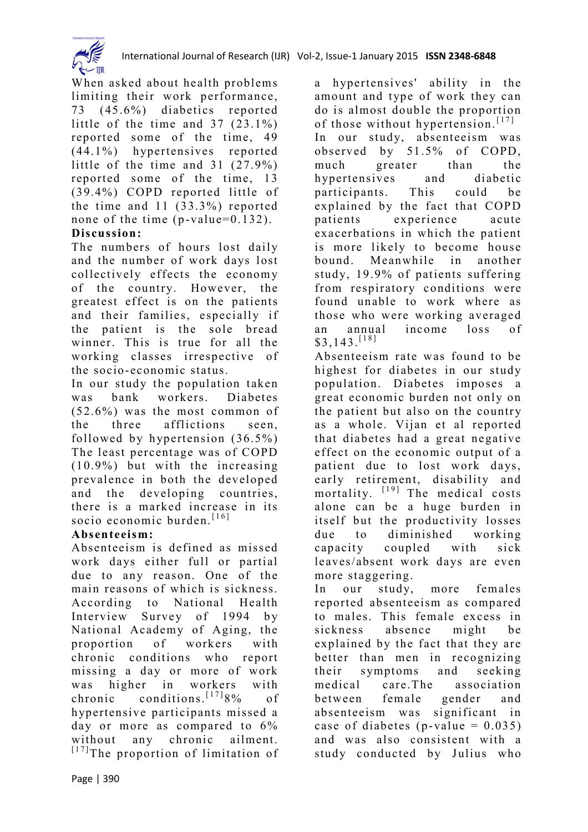

When asked about health problems limiting their work performance, 73 (45.6%) diabetics reported little of the time and 37 (23.1%) reported some of the time, 49 (44.1%) hypertensives reported little of the time and 31 (27.9%) reported some of the time, 13 (39.4%) COPD reported little of the time and 11 (33.3%) reported none of the time  $(p-value=0.132)$ .

## **Discussion:**

The numbers of hours lost daily and the number of work days lost collectively effects the economy of the country. However, the greatest effect is on the patients and their families, especially if the patient is the sole bread winner. This is true for all the working classes irrespective of the socio-economic status.

In our study the population taken was bank workers. Diabetes (52.6%) was the most common of the three afflictions seen, followed by hypertension (36.5%) The least percentage was of COPD (10.9%) but with the increasing prevalence in both the developed and the developing countries, there is a marked increase in its socio economic burden.  $[16]$ 

### **Absenteeism:**

Absenteeism is defined as missed work days either full or partial due to any reason. One of the main reasons of which is sickness. According to National Health Interview Survey of 1994 by National Academy of Aging, the proportion of workers with chronic conditions who report missing a day or more of work was higher in workers with chronic conditions.  $[17]8%$  of hypertensive participants missed a day or more as compared to 6% without any chronic ailment.  $[17]$ The proportion of limitation of a hypertensives' ability in the amount and type of work they can do is almost double the proportion of those without hypertension.  $[17]$ In our study, absenteeism was observed by 51.5% of COPD, much greater than the hypertensives and diabetic participants. This could be explained by the fact that COPD patients experience acute exacerbations in which the patient is more likely to become house bound. Meanwhile in another study, 19.9% of patients suffering from respiratory conditions were found unable to work where as those who were working averaged an annual income loss of  $$3,143$ .<sup>[18]</sup>

Absenteeism rate was found to be highest for diabetes in our study population. Diabetes imposes a great economic burden not only on the patient but also on the country as a whole. Vijan et al reported that diabetes had a great negative effect on the economic output of a patient due to lost work days, early retirement, disability and mortality.  $[19]$  The medical costs alone can be a huge burden in itself but the productivity losses due to diminished working capacity coupled with sick leaves/absent work days are even more staggering.

In our study, more females reported absenteeism as compared to males. This female excess in sickness absence might be explained by the fact that they are better than men in recognizing their symptoms and seeking medical care.The association between female gender and absenteeism was significant in case of diabetes (p-value  $= 0.035$ ) and was also consistent with a study conducted by Julius who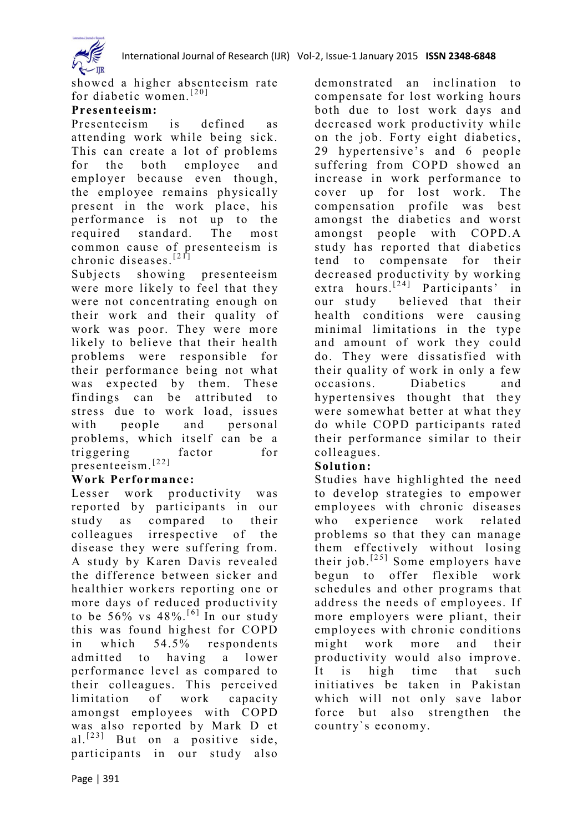

showed a higher absenteeism rate for diabetic women.<sup>[20]</sup>

#### **Presenteeism:**

Presenteeism is defined as attending work while being sick. This can create a lot of problems for the both employee and employer because even though, the employee remains physically present in the work place, his performance is not up to the required standard. The most common cause of presenteeism is chronic diseases.<sup>[21]</sup>

Subjects showing presenteeism were more likely to feel that they were not concentrating enough on their work and their quality of work was poor. They were more likely to believe that their health problems were responsible for their performance being not what was expected by them. These findings can be attributed to stress due to work load, issues with people and personal problems, which itself can be a triggering factor for presenteeism.<sup>[22]</sup>

#### **Work Performance:**

Lesser work productivity was reported by participants in our study as compared to their colleagues irrespective of the disease they were suffering from. A study by Karen Davis revealed the difference between sicker and healthier workers reporting one or more days of reduced productivity to be  $56\%$  vs  $48\%$ . <sup>[6]</sup> In our study this was found highest for COPD in which 54.5% respondents admitted to having a lower performance level as compared to their colleagues. This perceived limitation of work capacity amongst employees with COPD was also reported by Mark D et al.<sup>[23]</sup> But on a positive side, participants in our study also demonstrated an inclination to compensate for lost working hours both due to lost work days and decreased work productivity while on the job. Forty eight diabetics, 29 hypertensive's and 6 people suffering from COPD showed an increase in work performance to cover up for lost work. The compensation profile was best amongst the diabetics and worst amongst people with COPD.A study has reported that diabetics tend to compensate for their decreased productivity by working extra hours.<sup>[24]</sup> Participants' in our study believed that their health conditions were causing minimal limitations in the type and amount of work they could do. They were dissatisfied with their quality of work in only a few occasions. Diabetics and hypertensives thought that they were somewhat better at what they do while COPD participants rated their performance similar to their colleagues.

### **Solution:**

Studies have highlighted the need to develop strategies to empower employees with chronic diseases who experience work related problems so that they can manage them effectively without losing their job.<sup>[25]</sup> Some employers have begun to offer flexible work schedules and other programs that address the needs of employees. If more employers were pliant, their employees with chronic conditions might work more and their productivity would also improve. It is high time that such initiatives be taken in Pakistan which will not only save labor force but also strengthen the country`s economy.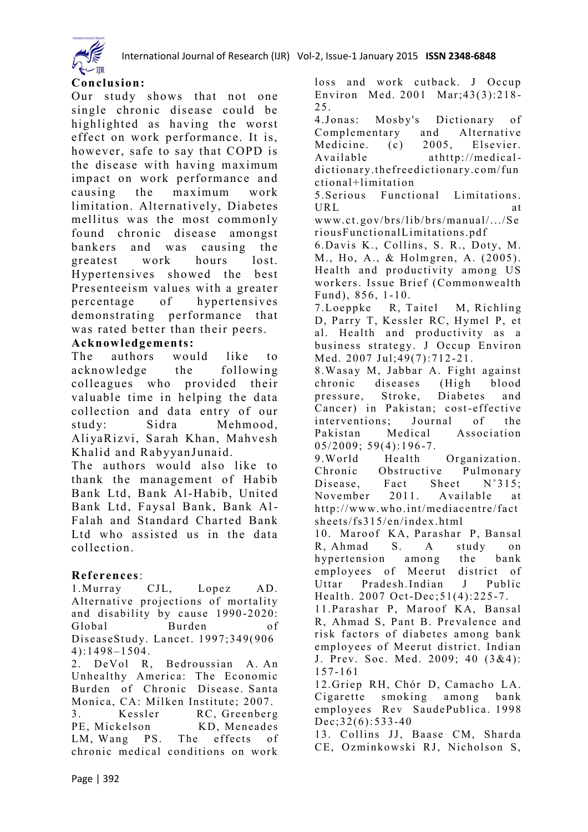

#### **Conclusion:**

Our study shows that not one single chronic disease could be highlighted as having the worst effect on work performance. It is, however, safe to say that COPD is the disease with having maximum impact on work performance and causing the maximum work limitation. Alternatively, Diabetes mellitus was the most commonly found chronic disease amongst bankers and was causing the greatest work hours lost. Hypertensives showed the best Presenteeism values with a greater percentage of hypertensives demonstrating performance that was rated better than their peers.

#### **Acknowledgements:**

The authors would like to acknowledge the following colleagues who provided their valuable time in helping the data collection and data entry of our study: Sidra Mehmood, AliyaRizvi, Sarah Khan, Mahvesh Khalid and RabyyanJunaid.

The authors would also like to thank the management of Habib Bank Ltd, Bank Al-Habib, United Bank Ltd, Faysal Bank, Bank Al-Falah and Standard Charted Bank Ltd who assisted us in the data collection.

### **References**:

1.Murray CJL, Lopez AD. Alternative projections of mortality and disability by cause 1990 -2020: Global Burden of DiseaseStudy. Lancet. 1997;349(906 4):1498–1504.

2. DeVol R, Bedroussian A. An Unhealthy America: The Economic Burden of Chronic Disease. Santa Monica, CA: Milken Institute; 2007.

3. Kessler RC, Greenberg PE, Mickelson KD, Meneades LM, Wang PS. The effects of chronic medical conditions on work

loss and work cutback. J Occup Environ Med. 2001 Mar;43(3):218 - 25. 4.Jonas: Mosby's Dictionary of Complementary and Alternative<br>Medicine. (c) 2005, Elsevier. Medicine. (c) 2005, Elsevier. Available at[http://medical](http://medical-dictionary.thefreedictionary.com/functional+limitation)[dictionary.thefreed](http://medical-dictionary.thefreedictionary.com/functional+limitation)ictionary.com/fun [ctional+limitation](http://medical-dictionary.thefreedictionary.com/functional+limitation) 5.Serious Functional Limitations. URL at [www.ct.gov/brs/lib/brs/manual/.../Se](http://www.ct.gov/brs/lib/brs/manual/.../SeriousFunctionalLimitations.pdf) [riousFunctionalLimitations.pdf](http://www.ct.gov/brs/lib/brs/manual/.../SeriousFunctionalLimitations.pdf) 6.Davis K., Collins, S. R., Doty, M. M., Ho, A., & Holmgren, A. (2005). Health and productivity among US workers. Issue Brief (Commonwealth Fund), 856, 1 -10. 7.Loeppke R, Taitel M, Richling D, Parry T, Kessler RC, Hymel P, et al. Health and productivity as a business strategy. J Occup Environ Med. 2007 Jul;49(7):712 -21. 8.Wasay M, Jabbar A. Fight against chronic diseases (High blood pressure, Stroke, Diabetes and Cancer) in Pakistan; cost-effective interventions; Journal of the Pakistan Medical Association  $05/2009$ ;  $59(4)$ : 196-7. 9.World Health Organization. Chronic Obstructive Pulmonary Disease. Fact Sheet N°315; November 2011. Available at [http://www.who.int/mediacentre/fact](http://www.who.int/mediacentre/factsheets/fs315/en/index.html) [sheets/fs315/en/index.html](http://www.who.int/mediacentre/factsheets/fs315/en/index.html) 10. Maroof KA, Parashar P, Bansal R, Ahmad S. A study on hypertension among the bank employees of Meerut district of Uttar Pradesh.Indian J Public Health. 2007 Oct-Dec; 51(4): 225-7. 11.Parashar P, Maroof KA, Bansal R, Ahmad S, Pant B. Prevalence and risk factors of diabetes among bank employees of Meerut district. Indian J. Prev. Soc. Med. 2009; 40 (3&4): 157-161 12.Griep RH, Chór D, Camacho LA. Cigarette smoking among bank employees Rev SaudePublica. 1998 Dec;32(6):533-40 13. Collins JJ, Baase CM, Sharda CE, Ozminkowski RJ, Nicholson S,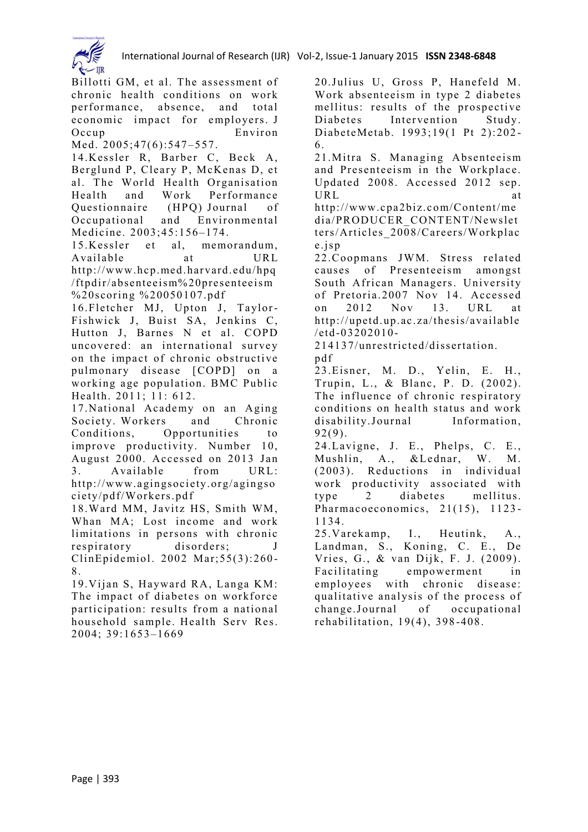

Billotti GM, et al. The assessment of chronic health conditions on work performance, absence, and total economic impact for employers. J Occup Environ Med. 2005;47(6):547-557. 14.Kessler R, Barber C, Beck A, Berglund P, Cleary P, McKenas D, et al. The World Health Organisation Health and Work Performance Questionnaire (HPQ) Journal of Occupational and Environmental Medicine. 2003;45:156–174. 15.Kessler et al, memorandum, Available at URL [http://www.hcp.med.harvard.edu/hpq](http://www.hcp.med.harvard.edu/hpq/ftpdir/absenteeism%20presenteeism%20scoring%20%20050107.pdf) [/ftpdir/absenteeism%20presenteeism](http://www.hcp.med.harvard.edu/hpq/ftpdir/absenteeism%20presenteeism%20scoring%20%20050107.pdf) [%20scoring %20050107.pdf](http://www.hcp.med.harvard.edu/hpq/ftpdir/absenteeism%20presenteeism%20scoring%20%20050107.pdf) 16.Fletcher MJ, Upton J, Taylor-Fishwick J, Buist SA, Jenkins C, Hutton J, Barnes N et al. COPD uncovered: an international survey on the impact of chronic obstructive pulmonary disease [COPD] on a working age population. BMC Public Health. 2011; 11: 612. 17.National Academy on an Aging Society. Workers and Chronic Conditions, Opportunities to improve productivity. Number 10, August 2000. Accessed on 2013 Jan 3. Available from URL: [http://www.agingsociety.org/agingso](http://www.agingsociety.org/agingsociety/pdf/Workers.pdf) [ciety/pdf/Workers.pd](http://www.agingsociety.org/agingsociety/pdf/Workers.pdf) f 18.Ward MM, Javitz HS, Smith WM, Whan MA; Lost income and work limitations in persons with chronic

respiratory disorders; J ClinEpidemiol. 2002 Mar;55(3):260 - 8.

19.Vijan S, Hayward RA, Langa KM: The impact of diabetes on workforce participation: results from a national household sample. Health Serv Res. 2004; 39:1653–1669

20.Julius U, Gross P, Hanefeld M. Work absenteeism in type 2 diabetes mellitus: results of the prospective Diabetes Intervention Study. DiabeteMetab. 1993;19(1 Pt 2):202 - 6.

21.Mitra S. Managing Absenteeism and Presenteeism in the Workplace. Updated 2008. Accessed 2012 sep. URL at

[http://www.cpa2biz.com/Content/me](http://www.cpa2biz.com/Content/media/PRODUCER_CONTENT/Newsletters/Articles_2008/Careers/Workplace.jsp).Presenteesim) [dia/PRODUCER\\_CONTENT/Newslet](http://www.cpa2biz.com/Content/media/PRODUCER_CONTENT/Newsletters/Articles_2008/Careers/Workplace.jsp).Presenteesim) [ters/Articles\\_2008/Careers/Workplac](http://www.cpa2biz.com/Content/media/PRODUCER_CONTENT/Newsletters/Articles_2008/Careers/Workplace.jsp).Presenteesim) [e.jsp](http://www.cpa2biz.com/Content/media/PRODUCER_CONTENT/Newsletters/Articles_2008/Careers/Workplace.jsp).Presenteesim)

22.Coopmans JWM. Stress related causes of Presenteeism amongst South African Managers. University of Pretoria.2007 Nov 14. Accessed on 2012 Nov 13. URL at [http://upetd.up.ac.za/thesis/available](http://upetd.up.ac.za/thesis/available/etd-03202010-214137/unrestricted/dissertation.pdf)  $/etd - 03202010 -$ 

[214137/unrestricted/dissertation.](http://upetd.up.ac.za/thesis/available/etd-03202010-214137/unrestricted/dissertation.pdf) [pdf](http://upetd.up.ac.za/thesis/available/etd-03202010-214137/unrestricted/dissertation.pdf)

23.Eisner, M. D., Yelin, E. H., Trupin, L., & Blanc, P. D. (2002). The influence of chronic respiratory conditions on health status and work disability.Journal Information, 92(9).

24.Lavigne, J. E., Phelps, C. E., Mushlin, A., &Lednar, W. M. (2003). Reductions in individual work productivity associated with type 2 di abetes mellitus. Pharmacoeconomics, 21(15), 1123-1134.

25.Varekamp, I., Heutink, A., Landman, S., Koning, C. E., De Vries, G., & van Dijk, F. J. (2009). Facilitating empowerment in employees with chronic disease: qualitative analysis of the process of change.Journal of occupational rehabilitation, 19(4), 398 -408.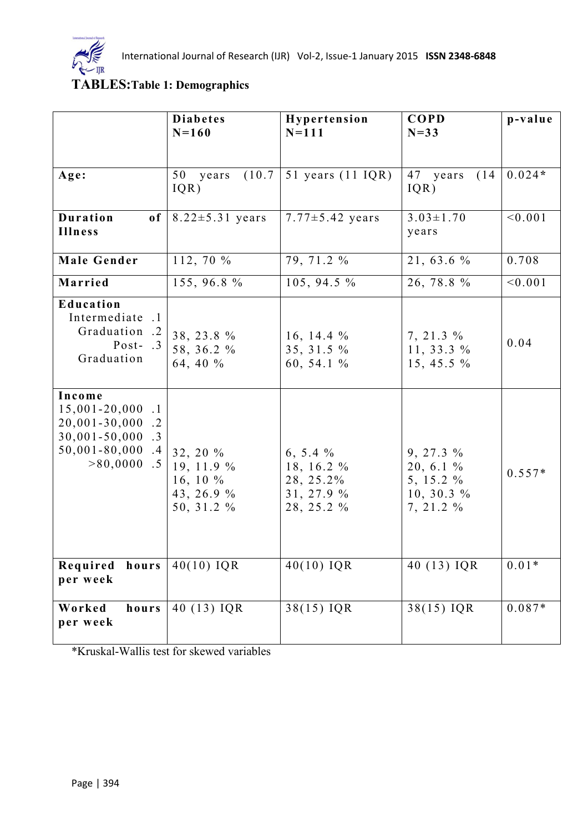

# **TABLES:Table 1: Demographics**

|                                                                                                                                                       | <b>Diabetes</b><br>$N = 160$                                          | Hypertension<br>$N = 111$                                         | <b>COPD</b><br>$N=33$                                                 | p-value  |
|-------------------------------------------------------------------------------------------------------------------------------------------------------|-----------------------------------------------------------------------|-------------------------------------------------------------------|-----------------------------------------------------------------------|----------|
| Age:                                                                                                                                                  | (10.7)<br>50 years<br>IQR)                                            | 51 years $(11$ IQR)                                               | 47 years<br>(14)<br>IQR)                                              | $0.024*$ |
| Duration<br>0f<br>Illness                                                                                                                             | $8.22 \pm 5.31$ years                                                 | $7.77 \pm 5.42$ years                                             | $3.03 \pm 1.70$<br>years                                              | < 0.001  |
| <b>Male Gender</b>                                                                                                                                    | 112, 70 %                                                             | 79, 71.2 %                                                        | 21, 63.6 %                                                            | 0.708    |
| Married                                                                                                                                               | 155, 96.8 %                                                           | 105, 94.5 %                                                       | 26, 78.8 %                                                            | < 0.001  |
| Education<br>Intermediate .1<br>Graduation .2<br>Post- $.3$<br>Graduation                                                                             | 38, 23.8 %<br>58, 36.2 %<br>64, 40 %                                  | 16, 14.4 $\%$<br>35, 31.5 %<br>60, 54.1 %                         | $7, 21.3 \%$<br>11, 33.3 $%$<br>15, 45.5 $\%$                         | 0.04     |
| Income<br>$15,001 - 20,000$<br>$\cdot$ 1<br>$20,001 - 30,000$<br>$\cdot$ 2<br>$30,001 - 50,000$ .3<br>$50,001 - 80,000$<br>$\cdot$ 4<br>$>80,0000$ .5 | $32, 20 \%$<br>19, 11.9 $%$<br>16, 10 $%$<br>43, 26.9 %<br>50, 31.2 % | 6, 5.4 $%$<br>18, 16.2 %<br>28, 25.2%<br>31, 27.9 %<br>28, 25.2 % | $9, 27.3 \%$<br>20, 6.1 %<br>5, 15.2 $%$<br>10, 30.3 $%$<br>7, 21.2 % | $0.557*$ |
| Required hours<br>per week                                                                                                                            | $40(10)$ IQR                                                          | $40(10)$ IQR                                                      | 40 (13) IQR                                                           | $0.01*$  |
| Worked<br>hours<br>per week                                                                                                                           | 40 (13) IQR                                                           | $\frac{38(15)}{10}$ IQR                                           | $38(15)$ IQR                                                          | $0.087*$ |

\*Kruskal-Wallis test for skewed variables